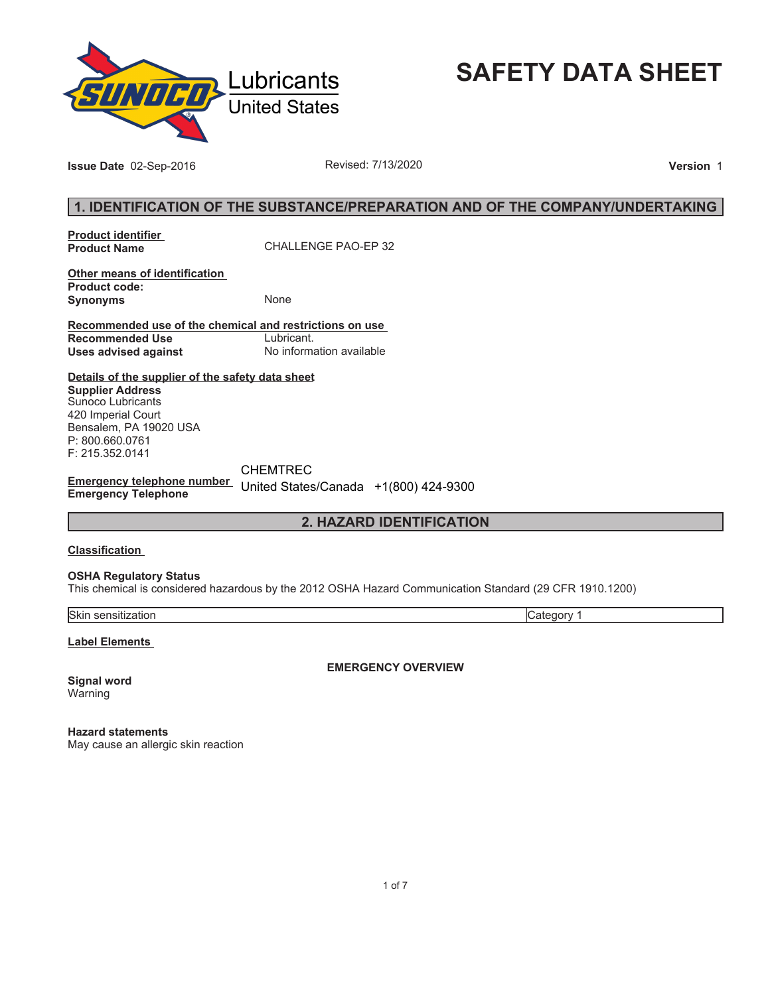

**SAFETY DATA SHEET**

**Issue Date** 02-Sep-2016 **Revised: 7/13/2020 Version** 1

## **1. IDENTIFICATION OF THE SUBSTANCE/PREPARATION AND OF THE COMPANY/UNDERTAKING**

**Product identifier** 

**Product Name** CHALLENGE PAO-EP 32

**Other means of identification Product code: Synonyms** None

**Recommended use of the chemical and restrictions on use Recommended Use<br>Uses advised against Uses advised against** No information available

**Details of the supplier of the safety data sheet Supplier Address** Sunoco Lubricants 420 Imperial Court Bensalem, PA 19020 USA P: 800.660.0761 F: 215.352.0141

**Emergency telephone number**  United States/Canada +1(800) 424-9300**Emergency Telephone** CHEMTREC

## **2. HAZARD IDENTIFICATION**

#### **Classification**

#### **OSHA Regulatory Status**

This chemical is considered hazardous by the 2012 OSHA Hazard Communication Standard (29 CFR 1910.1200)

Skin sensitization Category 1

**Label Elements** 

**Signal word** Warning

**EMERGENCY OVERVIEW**

**Hazard statements** May cause an allergic skin reaction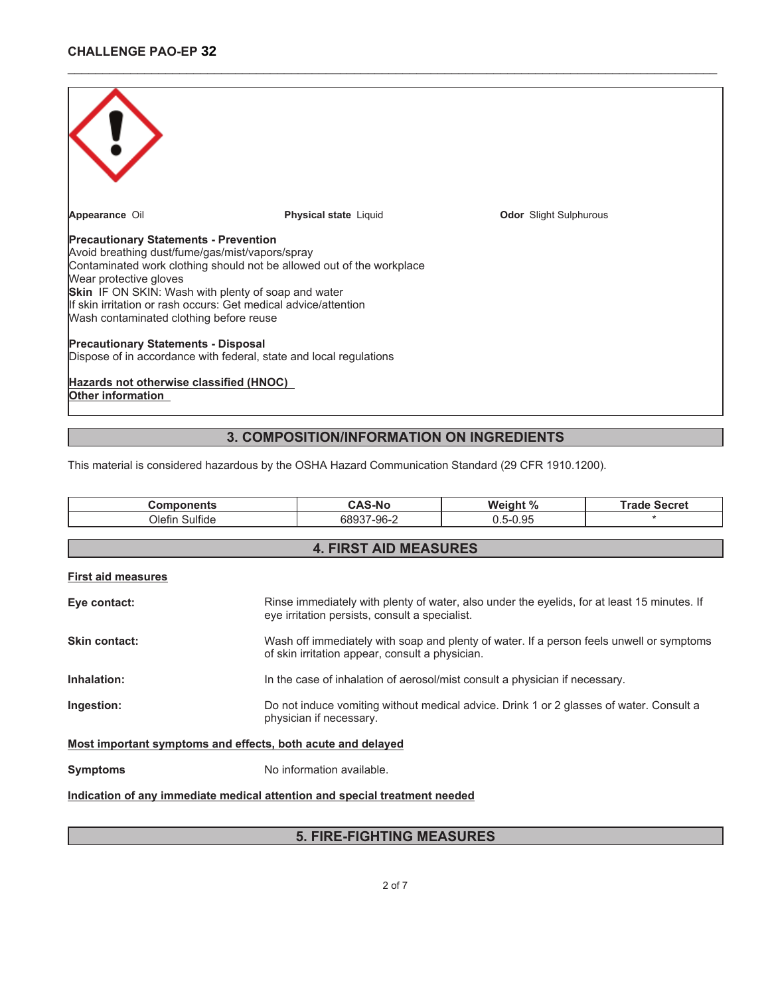

# This material is considered hazardous by the OSHA Hazard Communication Standard (29 CFR 1910.1200).

| <b>Components</b>                                                          | <b>CAS-No</b>                                                                                                                                 | Weight %     | <b>Trade Secret</b> |
|----------------------------------------------------------------------------|-----------------------------------------------------------------------------------------------------------------------------------------------|--------------|---------------------|
| Olefin Sulfide                                                             | 68937-96-2                                                                                                                                    | $0.5 - 0.95$ |                     |
|                                                                            |                                                                                                                                               |              |                     |
|                                                                            | <b>4. FIRST AID MEASURES</b>                                                                                                                  |              |                     |
| <b>First aid measures</b>                                                  |                                                                                                                                               |              |                     |
| Eye contact:                                                               | Rinse immediately with plenty of water, also under the eyelids, for at least 15 minutes. If<br>eye irritation persists, consult a specialist. |              |                     |
| Skin contact:                                                              | Wash off immediately with soap and plenty of water. If a person feels unwell or symptoms<br>of skin irritation appear, consult a physician.   |              |                     |
| Inhalation:                                                                | In the case of inhalation of aerosol/mist consult a physician if necessary.                                                                   |              |                     |
| Ingestion:                                                                 | Do not induce vomiting without medical advice. Drink 1 or 2 glasses of water. Consult a<br>physician if necessary.                            |              |                     |
| Most important symptoms and effects, both acute and delayed                |                                                                                                                                               |              |                     |
| <b>Symptoms</b>                                                            | No information available.                                                                                                                     |              |                     |
| Indication of any immediate medical attention and special treatment needed |                                                                                                                                               |              |                     |

## **5. FIRE-FIGHTING MEASURES**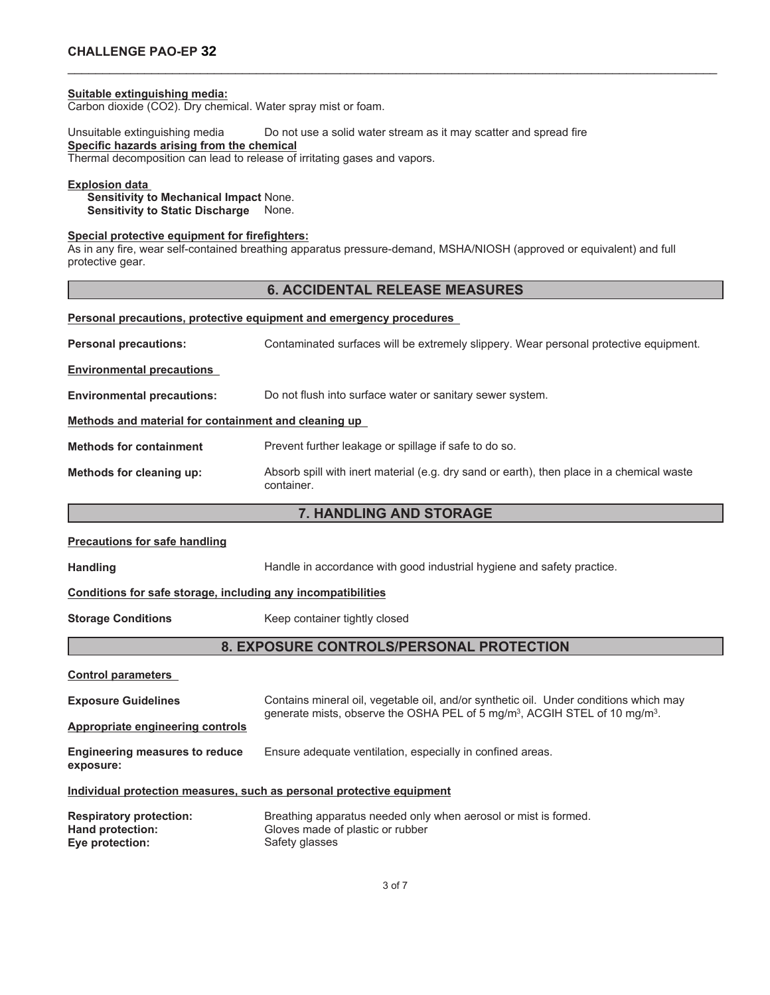## **CHALLENGE PAO-EP 32**

#### **Suitable extinguishing media:**

Carbon dioxide (CO2). Dry chemical. Water spray mist or foam.

Unsuitable extinguishing media Do not use a solid water stream as it may scatter and spread fire **Specific hazards arising from the chemical** Thermal decomposition can lead to release of irritating gases and vapors.

#### **Explosion data**

**Sensitivity to Mechanical Impact** None. **Sensitivity to Static Discharge** None.

### **Special protective equipment for firefighters:**

As in any fire, wear self-contained breathing apparatus pressure-demand, MSHA/NIOSH (approved or equivalent) and full protective gear.

## **6. ACCIDENTAL RELEASE MEASURES**

\_\_\_\_\_\_\_\_\_\_\_\_\_\_\_\_\_\_\_\_\_\_\_\_\_\_\_\_\_\_\_\_\_\_\_\_\_\_\_\_\_\_\_\_\_\_\_\_\_\_\_\_\_\_\_\_\_\_\_\_\_\_\_\_\_\_\_\_\_\_\_\_\_\_\_\_\_\_\_\_\_\_\_\_\_\_\_\_\_\_\_\_\_

|                                                      | Personal precautions, protective equipment and emergency procedures                                     |  |
|------------------------------------------------------|---------------------------------------------------------------------------------------------------------|--|
| <b>Personal precautions:</b>                         | Contaminated surfaces will be extremely slippery. Wear personal protective equipment.                   |  |
| <b>Environmental precautions</b>                     |                                                                                                         |  |
| <b>Environmental precautions:</b>                    | Do not flush into surface water or sanitary sewer system.                                               |  |
| Methods and material for containment and cleaning up |                                                                                                         |  |
| <b>Methods for containment</b>                       | Prevent further leakage or spillage if safe to do so.                                                   |  |
| Methods for cleaning up:                             | Absorb spill with inert material (e.g. dry sand or earth), then place in a chemical waste<br>container. |  |

## **7. HANDLING AND STORAGE**

#### **Precautions for safe handling**

Handling **Handle in accordance with good industrial hygiene and safety practice.** 

#### **Conditions for safe storage, including any incompatibilities**

**Storage Conditions** Keep container tightly closed

## **8. EXPOSURE CONTROLS/PERSONAL PROTECTION**

**Control parameters**

| <b>Exposure Guidelines</b>                                            | Contains mineral oil, vegetable oil, and/or synthetic oil. Under conditions which may<br>generate mists, observe the OSHA PEL of 5 mg/m <sup>3</sup> , ACGIH STEL of 10 mg/m <sup>3</sup> . |
|-----------------------------------------------------------------------|---------------------------------------------------------------------------------------------------------------------------------------------------------------------------------------------|
| Appropriate engineering controls                                      |                                                                                                                                                                                             |
| <b>Engineering measures to reduce</b><br>exposure:                    | Ensure adequate ventilation, especially in confined areas.                                                                                                                                  |
|                                                                       | Individual protection measures, such as personal protective equipment                                                                                                                       |
| <b>Respiratory protection:</b><br>Hand protection:<br>Eye protection: | Breathing apparatus needed only when aerosol or mist is formed.<br>Gloves made of plastic or rubber<br>Safety glasses                                                                       |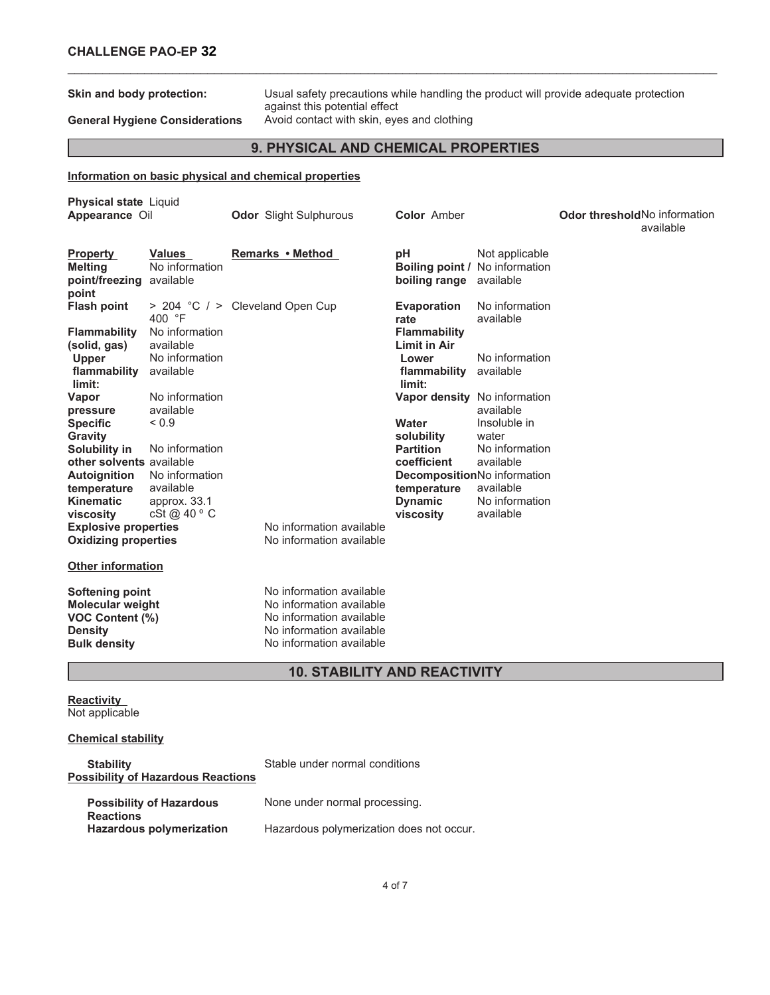**Skin and body protection:** Usual safety precautions while handling the product will provide adequate protection against this potential effect General Hygiene Considerations Avoid contact with skin, eyes and clothing

## **9. PHYSICAL AND CHEMICAL PROPERTIES**

\_\_\_\_\_\_\_\_\_\_\_\_\_\_\_\_\_\_\_\_\_\_\_\_\_\_\_\_\_\_\_\_\_\_\_\_\_\_\_\_\_\_\_\_\_\_\_\_\_\_\_\_\_\_\_\_\_\_\_\_\_\_\_\_\_\_\_\_\_\_\_\_\_\_\_\_\_\_\_\_\_\_\_\_\_\_\_\_\_\_\_\_\_

## **Information on basic physical and chemical properties**

| <b>Physical state Liquid</b><br>Appearance Oil                                         |                                               | <b>Odor</b> Slight Sulphurous                                                                                | <b>Color Amber</b>                                  |                                                               | <b>Odor threshold No information</b><br>available |
|----------------------------------------------------------------------------------------|-----------------------------------------------|--------------------------------------------------------------------------------------------------------------|-----------------------------------------------------|---------------------------------------------------------------|---------------------------------------------------|
| <b>Property</b><br><b>Melting</b><br>point/freezing<br>point                           | <b>Values</b><br>No information<br>available  | Remarks • Method                                                                                             | рH<br>boiling range                                 | Not applicable<br>Boiling point / No information<br>available |                                                   |
| <b>Flash point</b>                                                                     | 400 °F                                        | > 204 °C / > Cleveland Open Cup                                                                              | <b>Evaporation</b><br>rate                          | No information<br>available                                   |                                                   |
| <b>Flammability</b><br>(solid, gas)<br><b>Upper</b>                                    | No information<br>available<br>No information |                                                                                                              | <b>Flammability</b><br><b>Limit in Air</b><br>Lower | No information                                                |                                                   |
| flammability<br>limit:                                                                 | available                                     |                                                                                                              | flammability<br>limit:                              | available                                                     |                                                   |
| Vapor<br>pressure                                                                      | No information<br>available                   |                                                                                                              |                                                     | Vapor density No information<br>available                     |                                                   |
| <b>Specific</b><br>Gravity                                                             | ${}_{0.9}$<br>No information                  |                                                                                                              | Water<br>solubility<br><b>Partition</b>             | Insoluble in<br>water<br>No information                       |                                                   |
| Solubility in<br>other solvents available<br><b>Autoignition</b>                       | No information                                |                                                                                                              | coefficient                                         | available<br>DecompositionNo information                      |                                                   |
| temperature<br><b>Kinematic</b>                                                        | available<br>approx. 33.1                     |                                                                                                              | temperature<br><b>Dynamic</b>                       | available<br>No information                                   |                                                   |
| viscosity<br><b>Explosive properties</b><br><b>Oxidizing properties</b>                | cSt@40°C                                      | No information available<br>No information available                                                         | viscosity                                           | available                                                     |                                                   |
| <b>Other information</b>                                                               |                                               |                                                                                                              |                                                     |                                                               |                                                   |
| <b>Softening point</b><br><b>Molecular weight</b><br>VOC Content (%)<br><b>Density</b> |                                               | No information available<br>No information available<br>No information available<br>No information available |                                                     |                                                               |                                                   |
| <b>Bulk density</b>                                                                    |                                               | No information available                                                                                     |                                                     |                                                               |                                                   |

## **10. STABILITY AND REACTIVITY**

**Reactivity** Not applicable

## **Chemical stability**

| <b>Stability</b><br><b>Possibility of Hazardous Reactions</b> | Stable under normal conditions           |
|---------------------------------------------------------------|------------------------------------------|
| <b>Possibility of Hazardous</b><br><b>Reactions</b>           | None under normal processing.            |
| <b>Hazardous polymerization</b>                               | Hazardous polymerization does not occur. |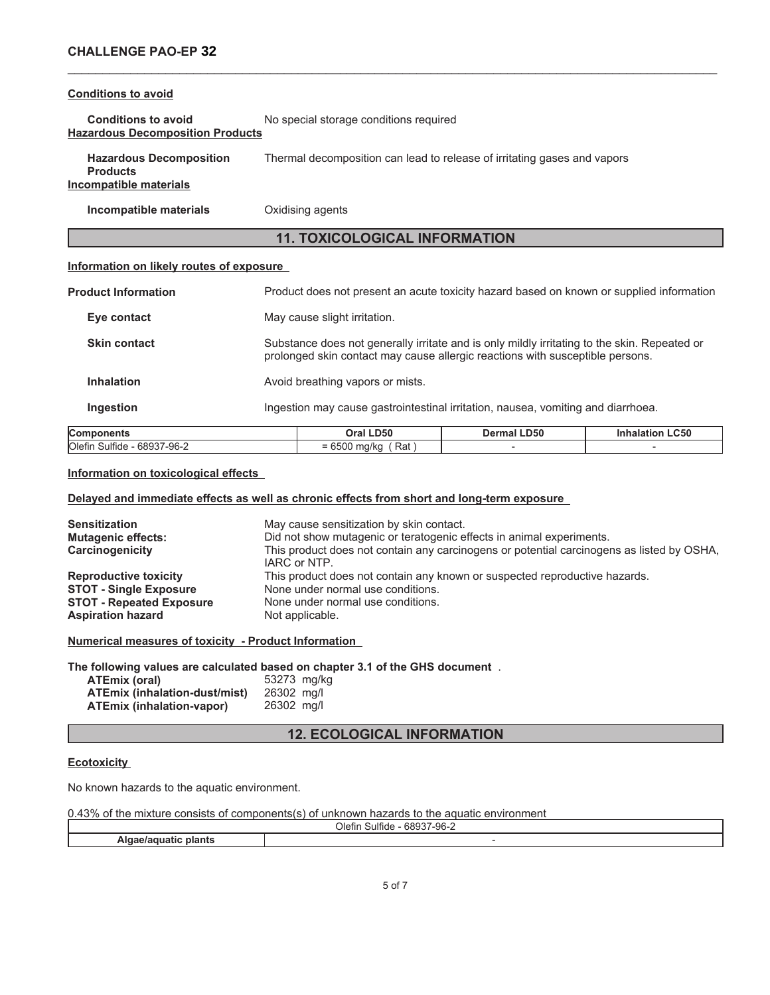## **Conditions to avoid**

**Conditions to avoid** No special storage conditions required **Hazardous Decomposition Products**

**Hazardous Decomposition Products** Thermal decomposition can lead to release of irritating gases and vapors **Incompatible materials**

**Incompatible materials Oxidising agents** 

## **11. TOXICOLOGICAL INFORMATION**

\_\_\_\_\_\_\_\_\_\_\_\_\_\_\_\_\_\_\_\_\_\_\_\_\_\_\_\_\_\_\_\_\_\_\_\_\_\_\_\_\_\_\_\_\_\_\_\_\_\_\_\_\_\_\_\_\_\_\_\_\_\_\_\_\_\_\_\_\_\_\_\_\_\_\_\_\_\_\_\_\_\_\_\_\_\_\_\_\_\_\_\_\_

## **Information on likely routes of exposure**

| <b>Components</b>          | Oral LD50                        | Dermal LD50                                                                                                                                                                   | <b>Inhalation LC50</b> |  |
|----------------------------|----------------------------------|-------------------------------------------------------------------------------------------------------------------------------------------------------------------------------|------------------------|--|
| Ingestion                  |                                  | Ingestion may cause gastrointestinal irritation, nausea, vomiting and diarrhoea.                                                                                              |                        |  |
| <b>Inhalation</b>          | Avoid breathing vapors or mists. |                                                                                                                                                                               |                        |  |
| <b>Skin contact</b>        |                                  | Substance does not generally irritate and is only mildly irritating to the skin. Repeated or<br>prolonged skin contact may cause allergic reactions with susceptible persons. |                        |  |
| Eye contact                | May cause slight irritation.     |                                                                                                                                                                               |                        |  |
| <b>Product Information</b> |                                  | Product does not present an acute toxicity hazard based on known or supplied information                                                                                      |                        |  |

| Com<br>---                                        | LD50<br>วra                                                            | .D50<br>۱۵۲،<br>rmal | $\sim$ $\sim$ $\sim$<br>LC JU |
|---------------------------------------------------|------------------------------------------------------------------------|----------------------|-------------------------------|
| Olefir<br>$- - -$<br>`7-96-∠ີ<br>.689″<br>Sulfide | Rat<br>$\mathbf{a} = \mathbf{a} \mathbf{a}$<br>า/kc<br>- 1<br>-<br>JUU |                      |                               |
|                                                   |                                                                        |                      |                               |

### **Information on toxicological effects**

## **Delayed and immediate effects as well as chronic effects from short and long-term exposure**

| <b>Sensitization</b><br><b>Mutagenic effects:</b><br>Carcinogenicity | May cause sensitization by skin contact.<br>Did not show mutagenic or teratogenic effects in animal experiments.<br>This product does not contain any carcinogens or potential carcinogens as listed by OSHA,<br>IARC or NTP. |
|----------------------------------------------------------------------|-------------------------------------------------------------------------------------------------------------------------------------------------------------------------------------------------------------------------------|
| <b>Reproductive toxicity</b>                                         | This product does not contain any known or suspected reproductive hazards.                                                                                                                                                    |
| <b>STOT - Single Exposure</b>                                        | None under normal use conditions.                                                                                                                                                                                             |
| <b>STOT - Repeated Exposure</b>                                      | None under normal use conditions.                                                                                                                                                                                             |
| <b>Aspiration hazard</b>                                             | Not applicable.                                                                                                                                                                                                               |

**Numerical measures of toxicity - Product Information**

**The following values are calculated based on chapter 3.1 of the GHS document** .

| ATEmix (oral)                    | 53273 mg/kg |  |
|----------------------------------|-------------|--|
| ATEmix (inhalation-dust/mist)    | 26302 mg/l  |  |
| <b>ATEmix (inhalation-vapor)</b> | 26302 mg/l  |  |

## **12. ECOLOGICAL INFORMATION**

### **Ecotoxicity**

No known hazards to the aquatic environment.

0.43% of the mixture consists of components(s) of unknown hazards to the aquatic environment

|                     | $\cdots$<br>cono-<br>17-96-2<br>Olefir<br>Sulfide<br>ו טפט |  |
|---------------------|------------------------------------------------------------|--|
| biants<br>іяти<br>9 |                                                            |  |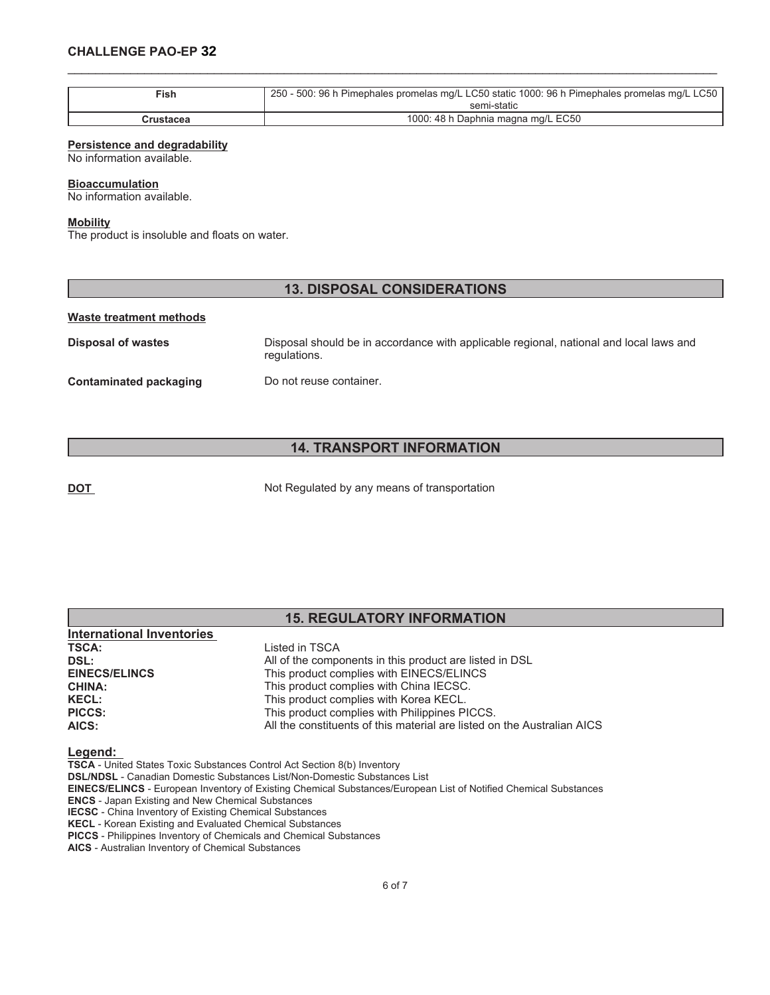## **CHALLENGE PAO-EP 32**

| Fish      | 250 - 500: 96 h Pimephales promelas mg/L LC50 static 1000: 96 h Pimephales promelas mg/L LC50 |
|-----------|-----------------------------------------------------------------------------------------------|
|           | semi-static                                                                                   |
| Crustacea | 1000: 48 h Daphnia magna mg/L EC50                                                            |

\_\_\_\_\_\_\_\_\_\_\_\_\_\_\_\_\_\_\_\_\_\_\_\_\_\_\_\_\_\_\_\_\_\_\_\_\_\_\_\_\_\_\_\_\_\_\_\_\_\_\_\_\_\_\_\_\_\_\_\_\_\_\_\_\_\_\_\_\_\_\_\_\_\_\_\_\_\_\_\_\_\_\_\_\_\_\_\_\_\_\_\_\_

#### **Persistence and degradability**

No information available.

#### **Bioaccumulation**

No information available.

#### **Mobility**

The product is insoluble and floats on water.

## **13. DISPOSAL CONSIDERATIONS**

#### **Waste treatment methods**

**Disposal of wastes** Disposal should be in accordance with applicable regional, national and local laws and regulations. **Contaminated packaging Do not reuse container.** 

## **14. TRANSPORT INFORMATION**

**DOT** Not Regulated by any means of transportation

## **15. REGULATORY INFORMATION International Inventories TSCA:** Listed in TSCA

| 135A.                | LISICY III TOUA                                                         |
|----------------------|-------------------------------------------------------------------------|
| DSL:                 | All of the components in this product are listed in DSL                 |
| <b>EINECS/ELINCS</b> | This product complies with EINECS/ELINCS                                |
| <b>CHINA:</b>        | This product complies with China IECSC.                                 |
| <b>KECL:</b>         | This product complies with Korea KECL.                                  |
| <b>PICCS:</b>        | This product complies with Philippines PICCS.                           |
| AICS:                | All the constituents of this material are listed on the Australian AICS |
|                      |                                                                         |

#### **Legend:**

**TSCA** - United States Toxic Substances Control Act Section 8(b) Inventory

**DSL/NDSL** - Canadian Domestic Substances List/Non-Domestic Substances List

**EINECS/ELINCS** - European Inventory of Existing Chemical Substances/European List of Notified Chemical Substances

**ENCS** - Japan Existing and New Chemical Substances **IECSC** - China Inventory of Existing Chemical Substances

**KECL** - Korean Existing and Evaluated Chemical Substances

**PICCS** - Philippines Inventory of Chemicals and Chemical Substances

**AICS** - Australian Inventory of Chemical Substances